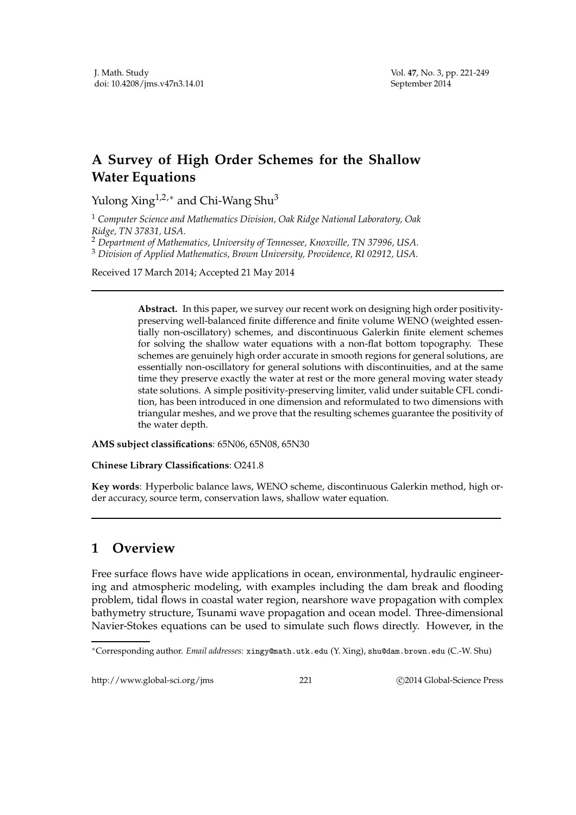## **A Survey of High Order Schemes for the Shallow Water Equations**

Yulong Xing<sup>1,2,∗</sup> and Chi-Wang Shu<sup>3</sup>

<sup>1</sup> *Computer Science and Mathematics Division, Oak Ridge National Laboratory, Oak Ridge, TN 37831, USA.*

<sup>3</sup> *Division of Applied Mathematics, Brown University, Providence, RI 02912, USA.*

Received 17 March 2014; Accepted 21 May 2014

**Abstract.** In this paper, we survey our recent work on designing high order positivitypreserving well-balanced finite difference and finite volume WENO (weighted essentially non-oscillatory) schemes, and discontinuous Galerkin finite element schemes for solving the shallow water equations with a non-flat bottom topography. These schemes are genuinely high order accurate in smooth regions for general solutions, are essentially non-oscillatory for general solutions with discontinuities, and at the same time they preserve exactly the water at rest or the more general moving water steady state solutions. A simple positivity-preserving limiter, valid under suitable CFL condition, has been introduced in one dimension and reformulated to two dimensions with triangular meshes, and we prove that the resulting schemes guarantee the positivity of the water depth.

**AMS subject classifications**: 65N06, 65N08, 65N30

**Chinese Library Classifications**: O241.8

**Key words**: Hyperbolic balance laws, WENO scheme, discontinuous Galerkin method, high order accuracy, source term, conservation laws, shallow water equation.

## **1 Overview**

Free surface flows have wide applications in ocean, environmental, hydraulic engineering and atmospheric modeling, with examples including the dam break and flooding problem, tidal flows in coastal water region, nearshore wave propagation with complex bathymetry structure, Tsunami wave propagation and ocean model. Three-dimensional Navier-Stokes equations can be used to simulate such flows directly. However, in the

http://www.global-sci.org/jms 221 
221 
C 2014 Global-Science Press

<sup>2</sup> *Department of Mathematics, University of Tennessee, Knoxville, TN 37996, USA.*

<sup>∗</sup>Corresponding author. *Email addresses:* xingy@math.utk.edu (Y. Xing), shu@dam.brown.edu (C.-W. Shu)